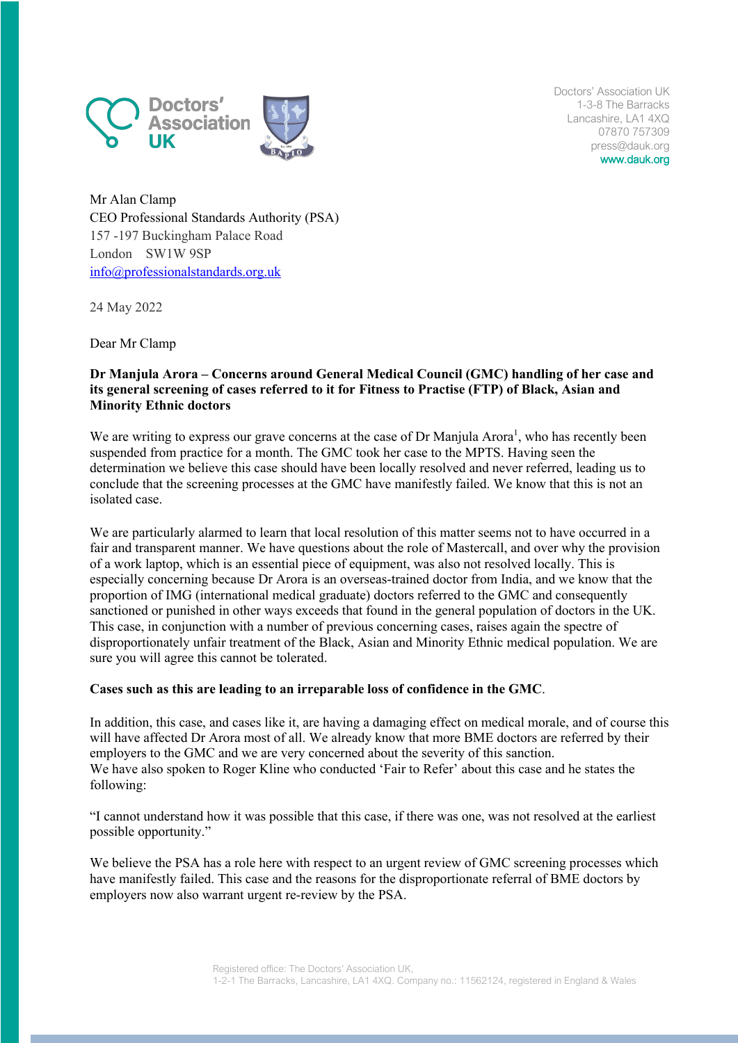**Doctors** 

Doctors' Association UK 1-3-8 The Barracks Lancashire, LA1 4XQ 07870 757309 press@dauk.org www.dauk.org

Mr Alan Clamp CEO Professional Standards Authority (PSA) 157 -197 Buckingham Palace Road London SW1W 9SP info@professionalstandards.org.uk

24 May 2022

Dear Mr Clamp

## **Dr Manjula Arora – Concerns around General Medical Council (GMC) handling of her case and its general screening of cases referred to it for Fitness to Practise (FTP) of Black, Asian and Minority Ethnic doctors**

We are writing to express our grave concerns at the case of Dr Manjula Arora<sup>1</sup>, who has recently been suspended from practice for a month. The GMC took her case to the MPTS. Having seen the determination we believe this case should have been locally resolved and never referred, leading us to conclude that the screening processes at the GMC have manifestly failed. We know that this is not an isolated case.

We are particularly alarmed to learn that local resolution of this matter seems not to have occurred in a fair and transparent manner. We have questions about the role of Mastercall, and over why the provision of a work laptop, which is an essential piece of equipment, was also not resolved locally. This is especially concerning because Dr Arora is an overseas-trained doctor from India, and we know that the proportion of IMG (international medical graduate) doctors referred to the GMC and consequently sanctioned or punished in other ways exceeds that found in the general population of doctors in the UK. This case, in conjunction with a number of previous concerning cases, raises again the spectre of disproportionately unfair treatment of the Black, Asian and Minority Ethnic medical population. We are sure you will agree this cannot be tolerated.

## **Cases such as this are leading to an irreparable loss of confidence in the GMC**.

In addition, this case, and cases like it, are having a damaging effect on medical morale, and of course this will have affected Dr Arora most of all. We already know that more BME doctors are referred by their employers to the GMC and we are very concerned about the severity of this sanction. We have also spoken to Roger Kline who conducted 'Fair to Refer' about this case and he states the following:

"I cannot understand how it was possible that this case, if there was one, was not resolved at the earliest possible opportunity."

We believe the PSA has a role here with respect to an urgent review of GMC screening processes which have manifestly failed. This case and the reasons for the disproportionate referral of BME doctors by employers now also warrant urgent re-review by the PSA.